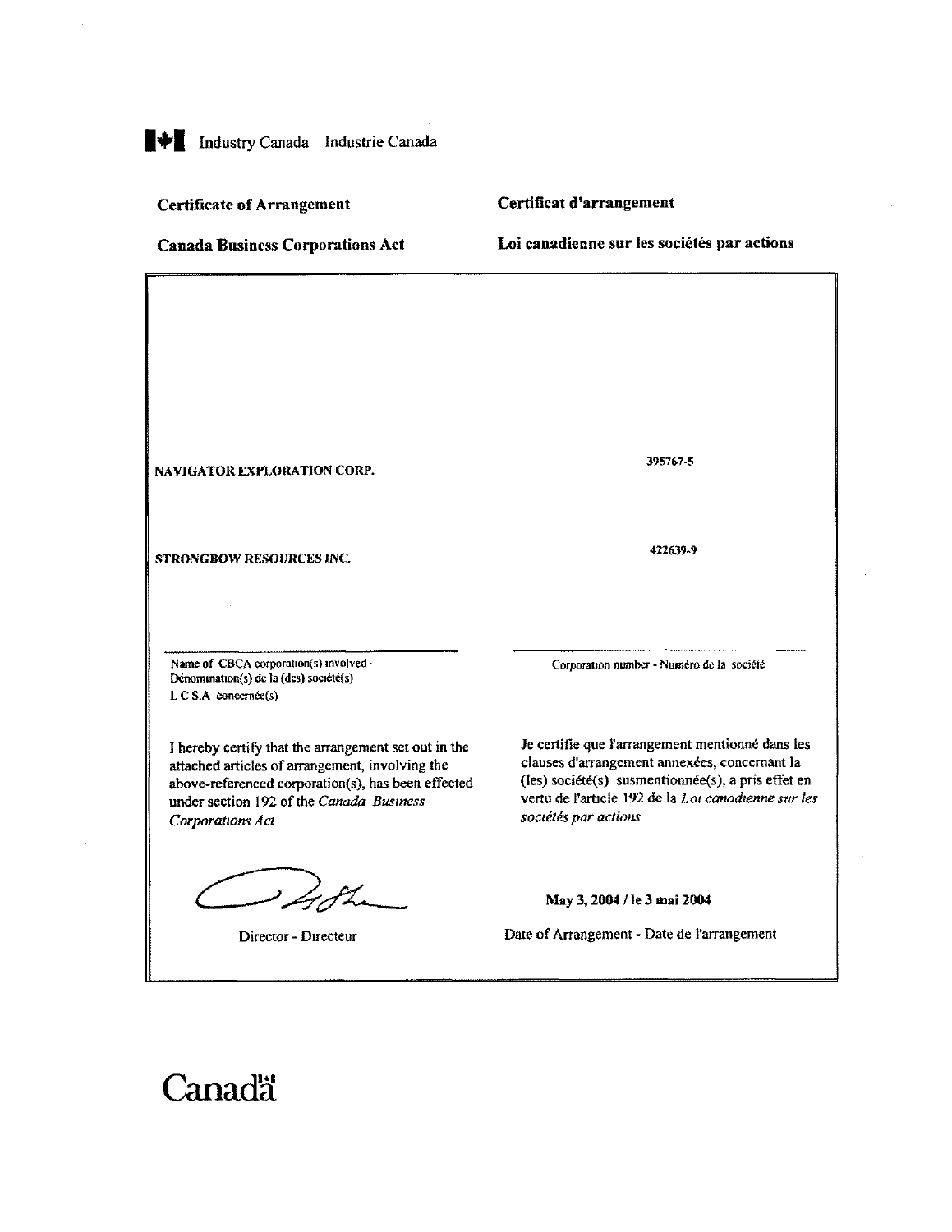# **THE Industry Canada Industrie Canada**

#### Certificate of Arrangement

## Certiffcat d'arrangement

Canada Business Corporations Act

Loi canadienne sur les sociétés par actions

NAVIGATOR EXPLORATION CORP.

STRONGBOW RESOURCES INC.

Name of CBCA corporation(s) involved - Dénomination(s) de la (des) société(s) L C S.A concernée(s)

I hereby certify that the arrangement set out in the attached articles of arrangement, involving the above-referenced corporation(s), has been effected under section 192 of the Canada Business Corporations Act

Z JL

Director - Directeur

395767-5

422639-9

Corporation number - Numero de la societe

Je certifie que l'arrangement mentionné dans les clauses d'arrangement annexées, concernant la  $(les)$  société $(s)$  susmentionnée $(s)$ , a pris effet en vertu de l'article 192 de la Loi canadienne sur les sociétés par actions

May 3, 2004 / le 3 mai 2004

Date of Arrangement - Date de Parrangement

# Canadä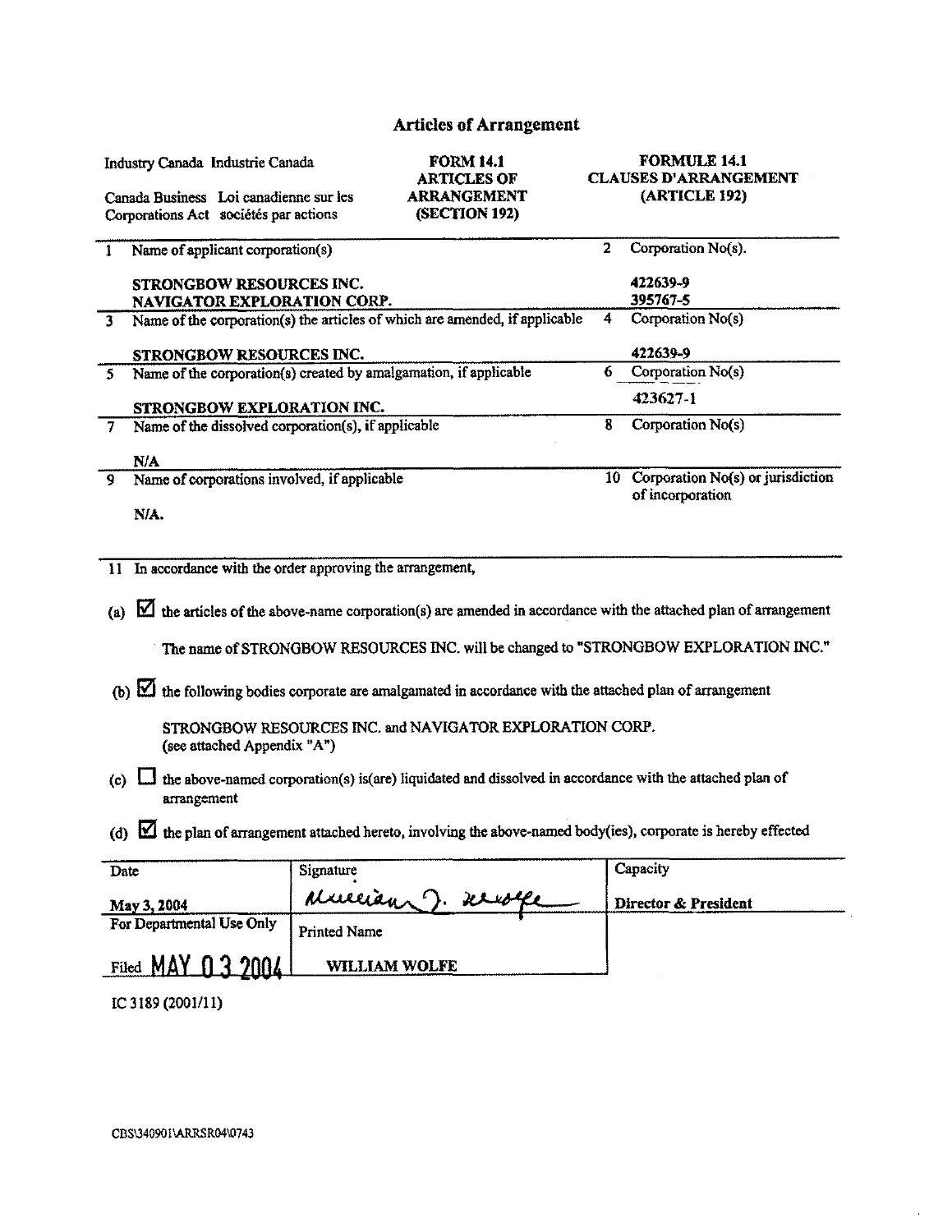## Articles of Arrangement

| Industry Canada Industrie Canada<br>Canada Business Loi canadienne sur les<br>Corporations Act sociétés par actions           |                     | <b>FORM 14.1</b><br><b>ARTICLES OF</b><br><b>ARRANGEMENT</b><br>(SECTION 192) |              | <b>FORMULE 14.1</b><br><b>CLAUSES D'ARRANGEMENT</b><br>(ARTICLE 192) |
|-------------------------------------------------------------------------------------------------------------------------------|---------------------|-------------------------------------------------------------------------------|--------------|----------------------------------------------------------------------|
| Name of applicant corporation(s)<br>$\mathbf{I}$                                                                              |                     |                                                                               | $\mathbf{2}$ | Corporation No(s).                                                   |
| STRONGBOW RESOURCES INC.<br><b>NAVIGATOR EXPLORATION CORP.</b>                                                                |                     |                                                                               |              | 422639-9<br>395767-5                                                 |
| Name of the corporation(s) the articles of which are amended, if applicable<br>3 <sup>1</sup>                                 |                     |                                                                               | 4            | Corporation No(s)                                                    |
| STRONGBOW RESOURCES INC.                                                                                                      |                     |                                                                               |              | 422639-9                                                             |
| Name of the corporation(s) created by amalgamation, if applicable<br>5.                                                       |                     |                                                                               | 6            | Corporation No(s)                                                    |
| STRONGBOW EXPLORATION INC.                                                                                                    |                     |                                                                               |              | 423627-1                                                             |
| Name of the dissolved corporation(s), if applicable<br>$\tau$                                                                 |                     |                                                                               | 8            | Corporation No(s)                                                    |
| N/A                                                                                                                           |                     |                                                                               |              |                                                                      |
| Name of corporations involved, if applicable<br>9                                                                             |                     |                                                                               |              | 10 Corporation No(s) or jurisdiction<br>of incorporation             |
| N/A.                                                                                                                          |                     |                                                                               |              |                                                                      |
|                                                                                                                               |                     |                                                                               |              |                                                                      |
| 11 In accordance with the order approving the arrangement,                                                                    |                     |                                                                               |              |                                                                      |
| the articles of the above-name corporation(s) are amended in accordance with the attached plan of arrangement<br>(a)          |                     |                                                                               |              |                                                                      |
| The name of STRONGBOW RESOURCES INC. will be changed to "STRONGBOW EXPLORATION INC."                                          |                     |                                                                               |              |                                                                      |
| (b) $\boxtimes$ the following bodies corporate are amalgamated in accordance with the attached plan of arrangement            |                     |                                                                               |              |                                                                      |
| STRONGBOW RESOURCES INC. and NAVIGATOR EXPLORATION CORP.<br>(see attached Appendix "A")                                       |                     |                                                                               |              |                                                                      |
| the above-named corporation(s) is(are) liquidated and dissolved in accordance with the attached plan of<br>(c)<br>arrangement |                     |                                                                               |              |                                                                      |
| (d) $\boxtimes$ the plan of arrangement attached hereto, involving the above-named body(ies), corporate is hereby effected    |                     |                                                                               |              |                                                                      |
| Date                                                                                                                          | Signature           |                                                                               |              | Capacity                                                             |
| May 3, 2004                                                                                                                   |                     | Mullian J. Krist                                                              |              | Director & President                                                 |
| For Departmental Use Only                                                                                                     | <b>Printed Name</b> |                                                                               |              |                                                                      |
| Filed MAY 03 2004                                                                                                             | WILLIAM WOLFE       |                                                                               |              |                                                                      |

 $\mathcal{L}$ 

IC 3189 (2001/11)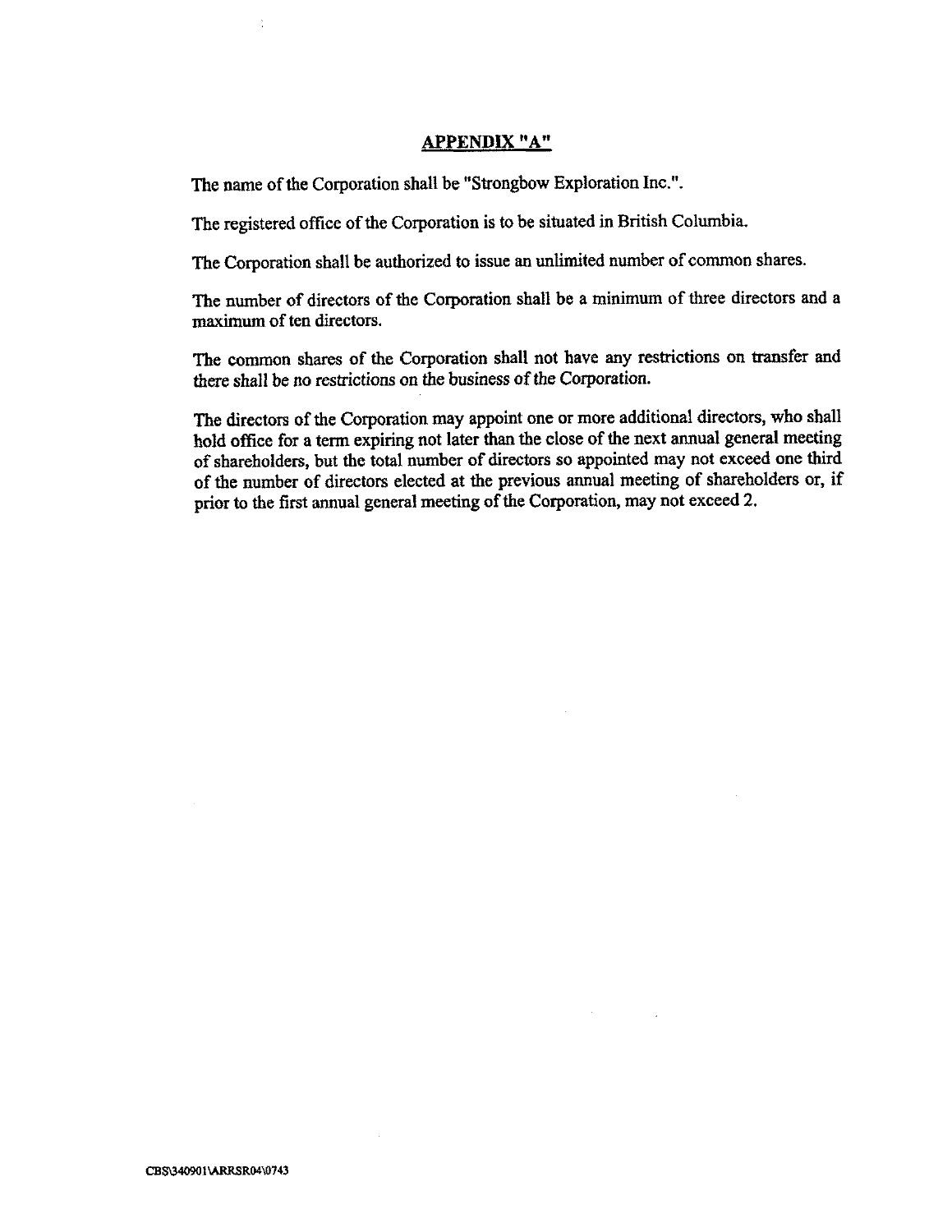## APPENDIX "A"

The name of the Corporation shall be "Strongbow Exploration Inc." .

The registered office of the Corporation is to be situated in British Columbia.

The Corporation shall be authorized to issue an unlimited number of common shares.

The number of directors of the Corporation shall be a minimum of three directors and a maximum of ten directors.

The common shares of the Corporation shall not have any restrictions on transfer and there shall be no restrictions on the business of the Corporation.

The directors of the Corporation may appoint one or more additional directors, who shall hold office for a term expiring not later than the close of the next annual general meeting of shareholders, but the total number of directors so appointed may not exceed one third of the number of directors elected at the previous annual meeting of shareholders or, if prior to the first annual general meeting of the Corporation, may not exceed 2.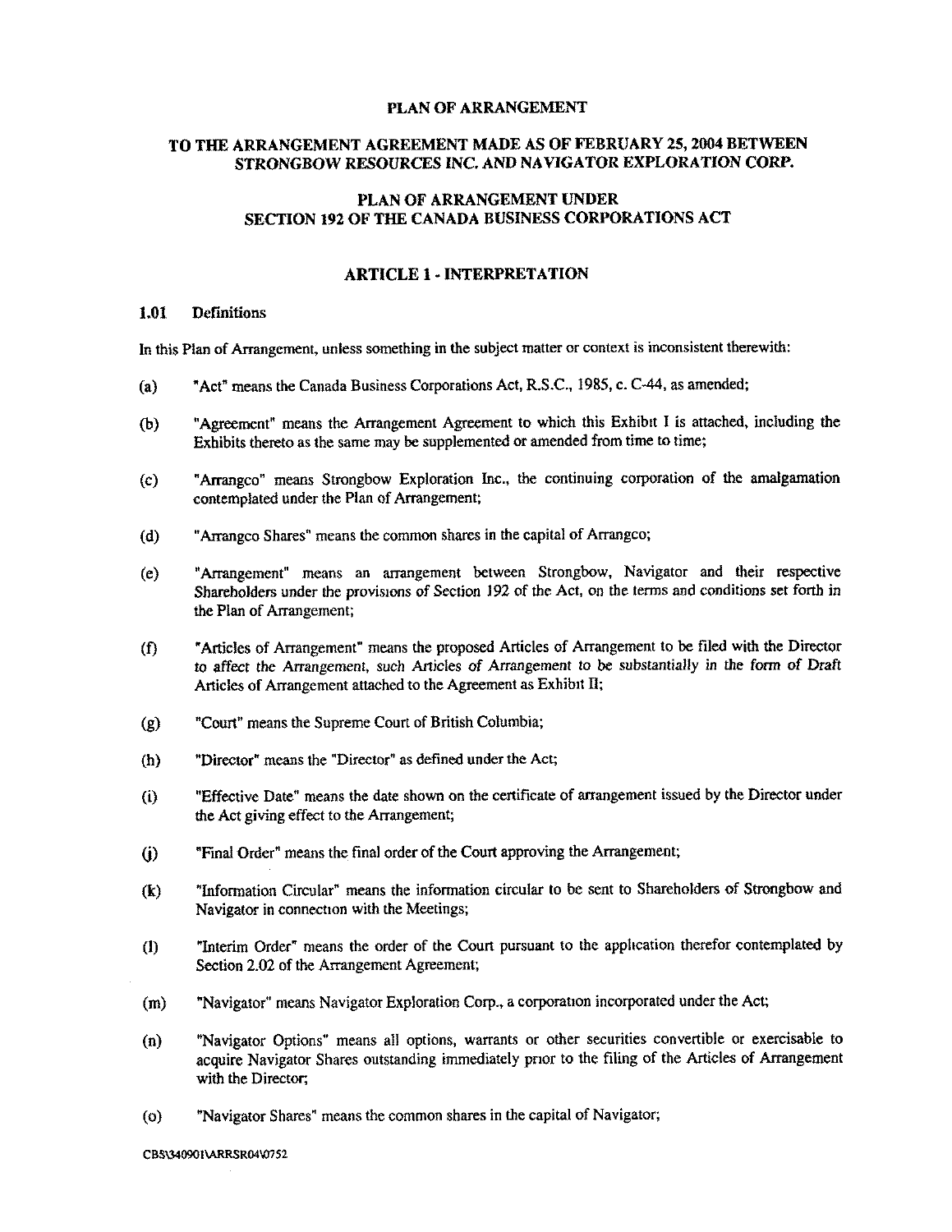#### PLAN OF ARRANGEMENT

## TO THE ARRANGEMENT AGREEMENT MADE AS OF FEBRUARY 25, 2004 BETWEEN STRONGBOW RESOURCES INC. AND NAVIGATOR EXPLORATION CORP.

## PLAN OF ARRANGEMENT UNDER SECTION 192 OF THE CANADA BUSINESS CORPORATIONS ACT

## ARTICLE I-INTERPRETATION

#### <sup>1</sup> .01 Definitions

In this Plan of Arrangement, unless something in the subject matter or context is inconsistent therewith:

- (a) "Act" means the Canada Business Corporations Act, R.S .C., 1985, c. C-44, as amended;
- (b) "Agreement" means the Arrangement Agreement to which this Exhibit I is attached, including the Exhibits thereto as the same may be supplemented or amended from time to time;
- (c) "Arrangco" means Strongbow Exploration Inc., the continuing corporation of the amalgamation contemplated under the Plan of Arrangement;
- (d) "Atrangco Shares" means the common shares in the capital of Arrangco;
- (e) "Arrangement" means an arrangement between Strongbow, Navigator and their respective Shareholders under the provisions of Section 192 of the Act, on the terms and conditions set forth in the Plan of Arrangement;
- (f) "Articles of Arrangement" means the proposed Articles of Arrangement to be filed with the Director to affect the Arrangement, such Articles of Arrangement to be substantially in the form of Draft Articles of Arrangement attached to the Agreement as Exhibit II;
- (9) "Court" means the Supreme Court of British Columbia;
- (h) "Director" means the "Director"as defined under the Act;
- (i) "Effective Date" means the date shown on the certificate of arrangement issued by the Director under the Act giving effect to the Arrangement;
- 6) "Final Order" means the final order of the Court approving the Arrangement;
- (f;) "Information Circular" means the information circular to be sent to Shareholders of Strongbow and Navigator in connection with the Meetings;
- (1) "Interim Order" means the order of the Court pursuant to the application therefor contemplated by Section 2.02 of the Arrangement Agreement;
- (m) "Navigator" means Navigator Exploration Corp., a corporation incorporated under the Act;
- (n) "Navigator Options" means all options, warrants or other securities convertible or exercisable to acquire Navigator Shares outstanding immediately prior to the filing of the Articles of Arrangement with the Director:
- (o) "Navigator Shares" means the common shares in the capital of Navigator;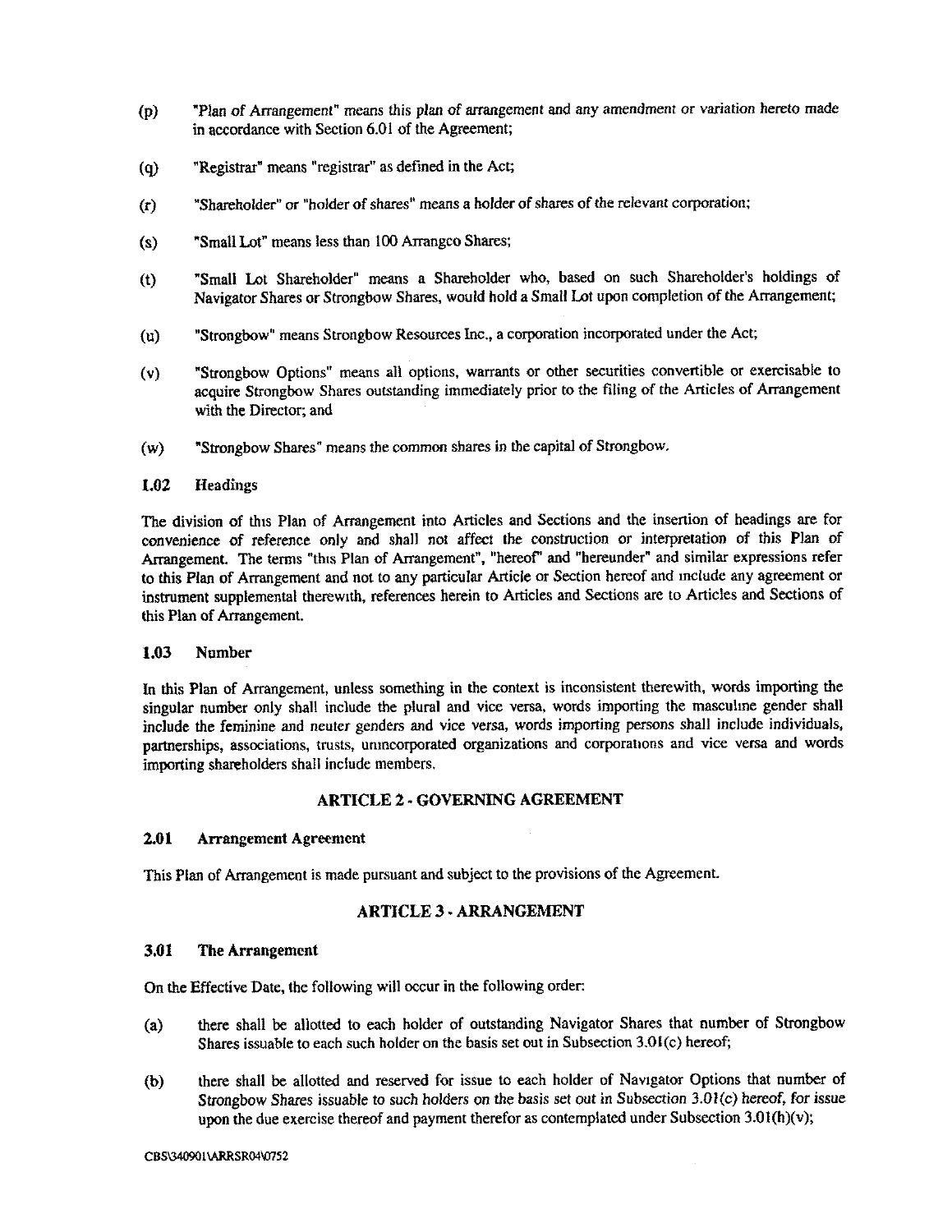- "Plan of Arrangement" means this plan of arrangement and any amendment or variation hereto made  $(p)$ in accordance with Section 6.01 of the Agreement;
- (q) "Registrar" means "registrar" as defined in the Act;
- (r) "Shareholder" or "holder of shares" means a holder of shares of the relevant corporation;
- (s) "Small Lot" means less than 100 Arrangeo Shares;
- (t) "Small Lot Shareholder" means a Shareholder who, based on such Shareholder's holdings of Navigator Shares or Strongbow Shares, would hold a Small Lot upon completion of the Arrangement;
- (u) "Strongbow" means Strongbow Resources Inc., a corporation incorporated under the Act;
- (v) "Strongbow Options" means all options, warrants or other securities convertible or exercisable to acquire Strongbow Shares outstanding immediately prior to the filing of the Articles of Arrangement with the Director; and
- (w) "Strongbow Shares" means the common shares in the capital of Strongbow .

#### 1.02 Headings

The division of this Plan of Arrangement into Articles and Sections and the insertion of headings are for convenience of reference only and shall not affect the construction or interpretation of this Plan of Arrangement. The terms "this Plan of Arrangement", "hereof" and "hereunder" and similar expressions refer to this Plan of Arrangement and not to any particular Article or Section hereof and include any agreement or instrument supplemental therewith, references herein to Articles and Sections are to Articles and Sections of this Plan of Arrangement.

#### 1.03 Number

In this Plan of Arrangement, unless something in the context is inconsistent therewith, words importing the singular number only shall include the plural and vice versa, words importing the masculine gender shall include the feminine and neuter genders and vice versa, words importing persons shall include individuals, partnerships, associations, trusts, unmcorporated organizations and corporations and vice versa and words importing shareholders shall include members .

## ARTICLE 2 - GOVERNING AGREEMENT

#### 2.01 Arrangement Agreement

This Plan of Arrangement is made pursuant and subject to the provisions of the Agreement

## ARTICLE 3 . ARRANGEMENT

#### 3.01 The Arrangement

On the Effective Date, the following will occur in the following order:

- (a) there shall be allotted to each holder of outstanding Navigator Shares that number of Strongbow Shares issuable to each such holder on the basis set out in Subsection 3.01(c) hereof;
- (b) there shall be allotted and reserved for issue to each holder of Navigator Options that number of Strongbow Shares issuable to such holders on the basis set out in Subsection 3.01(c) hereof, for issue upon the due exercise thereof and payment therefor as contemplated under Subsection  $3.01(h)(v)$ ;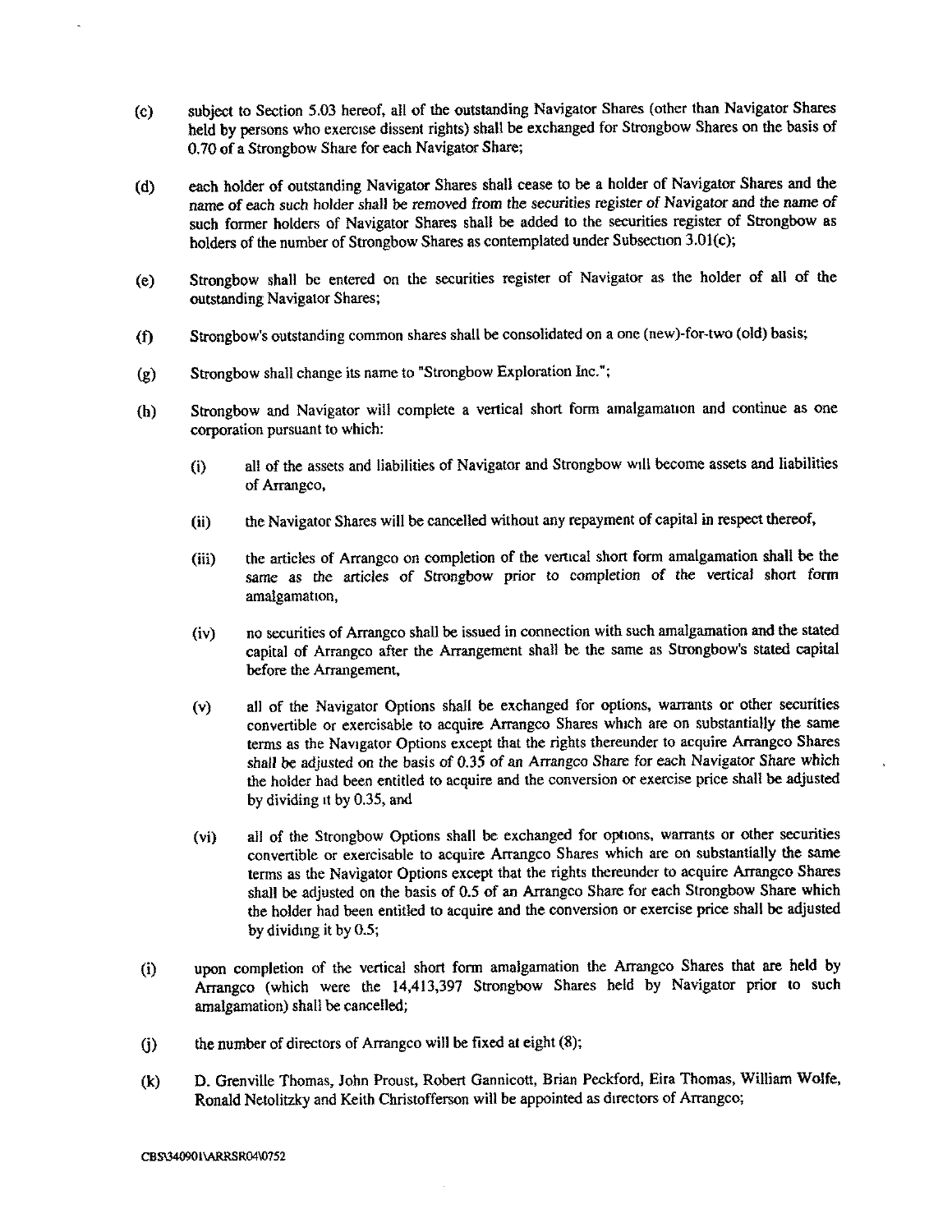- (c) subject to Section 5.03 hereof, all of the outstanding Navigator Shares (other than Navigator Shares held by persons who exercise dissent rights) shall be exchanged for Strongbow Shares on the basis of 0.70 of a Strongbow Share for each Navigator Share;
- (d) each holder of outstanding Navigator Shares shall cease to be a holder of Navigator Shares and the name of each such holder shall be removed from the securities register of Navigator and the name of such former holders of Navigator Shares shall be added to the securities register of Strongbow as holders of the number of Strongbow Shares as contemplated under Subsection 3.01(c);
- (e) Strongbow shall be entered on the securities register of Navigator as the holder of all of the outstanding Navigator Shares;
- (f) Strongbow's outstanding common shares shall be consolidated on a one (new)-for-two (old) basis;
- (g) Strongbow shall change its name to "Strongbow Exploration Inc ." ;
- (h) Strongbow and Navigator will complete a vertical short form amalgamation and continue as one corporation pursuant to which:
	- (i) all of the assets and liabilities of Navigator and Strongbow will become assets and liabilities of Arrangco,
	- (ii) the Navigator Shares will be cancelled without any repayment of capital in respect thereof,
	- (iii) the articles of Arrangco on completion of the vertical short form amalgamation shall be the same as the articles of Strongbow prior to completion of the vertical short form amalgamation,
	- (iv) no securities of Arrangco shall be issued in connection with such amalgamation and the stated capital of Arrangco after the Arrangement shall be the same as Strongbow's stated capital before the Arrangement,
	- (v) all of the Navigator Options shall be exchanged for options, warrants or other securities convertible or exercisable to acquire Arrangco Shares which are on substantially the same terms as the Navigator Options except that the rights thereunder to acquire Arrangco Shares shall be adjusted on the basis of 0.35 of an Arrangco Share for each Navigator Share which the holder had been entitled to acquire and the conversion or exercise price shall be adjusted by dividing it by  $0.35$ , and
	- (vi) all of the Strongbow Options shall be exchanged for options, warrants or other securities convertible or exercisable to acquire Arrangco Shares which are on substantially the same terns as the Navigator Options except that the rights thereunder to acquire Arrangco Shares shall be adjusted on the basis of 0.5 of an Arrangeo Share for each Strongbow Share which the holder had been entitled to acquire and the conversion or exercise price shall be adjusted by dividing it by 0.5;
- upon completion of the vertical short form amalgamation the Arrangeo Shares that are held by  $(i)$ Arrangco (which were the 14,413,397 Strongbow Shares held by Navigator prior to such amalgamation) shall be cancelled;
- $(i)$  the number of directors of Arrangco will be fixed at eight  $(8)$ ;
- (k) D. Grenville Thomas, John Proust, Robert Gannicott, Brian Peckford, Eira Thomas, William Wolfe, Ronald Netolitzky and Keith Christofferson will be appointed as directors of Arrangco;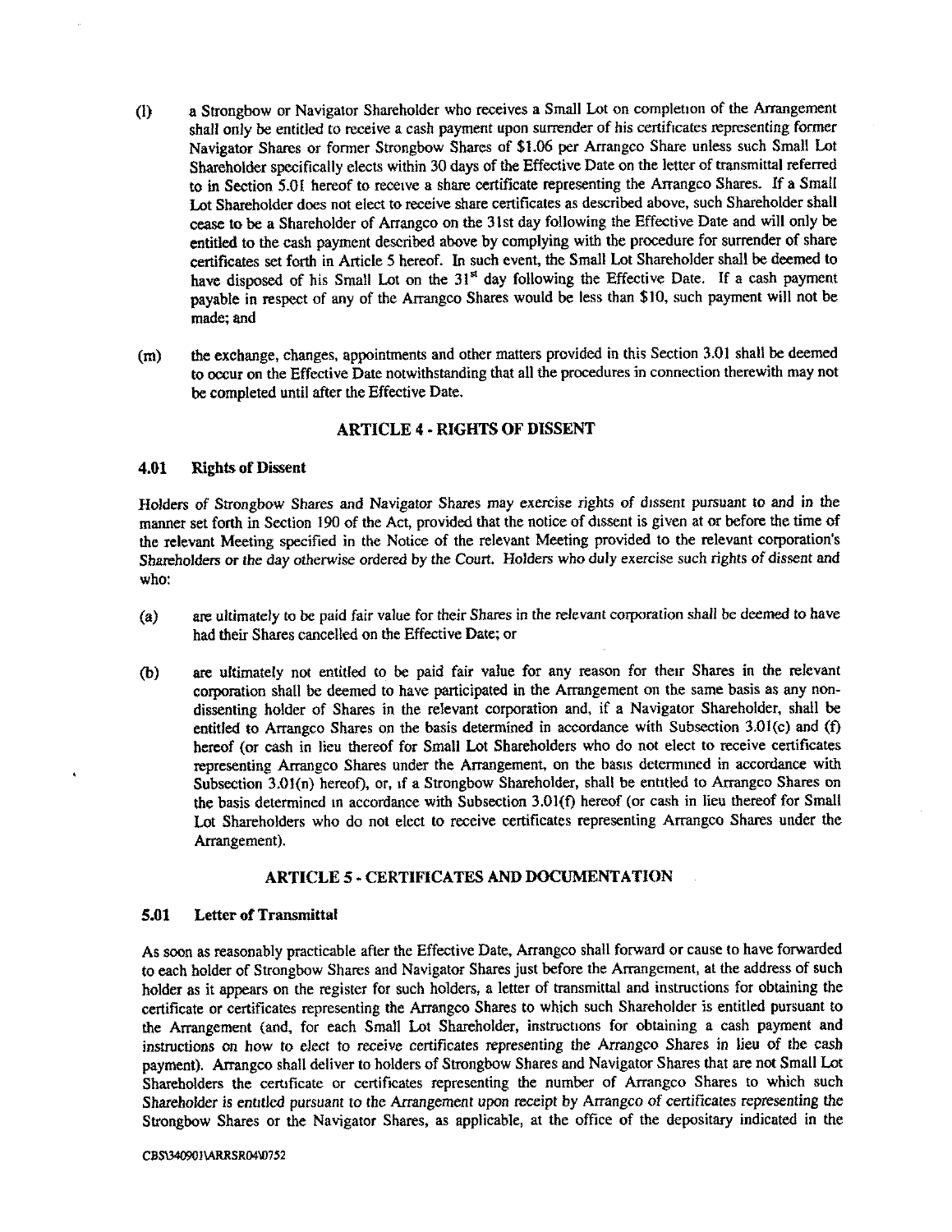- a Strongbow or Navigator Shareholder who receives a Small Lot on completion of the Arrangement  $(1)$ shall only be entitled to receive a cash payment upon surrender of his certificates representing former Navigator Shares or former Strongbow Shares of \$1.06 per Arrangco Share unless such Small Lot Shareholder specifically elects within 30 days of the Effective Date on the letter of transmittal referred to in Section 5.01 hereof to receive a share certificate representing the Arrangco Shares. If a Small Lot Shareholder does not elect to receive share certificates as described above, such Shareholder shall cease to be a Shareholder of Arrangco on the 31st day following the Effective Date and will only be entitled to the cash payment described above by complying with the procedure for surrender of share certificates set forth in Article 5 hereof. In such event, the Small Lot Shareholder shall be deemed to have disposed of his Small Lot on the 31<sup>st</sup> day following the Effective Date. If a cash payment payable in respect of any of the Arrangco Shares would be less than \$10, such payment will not be made; and
- the exchange, changes, appointments and other matters provided in this Section 3.01 shall be deemed  $(m)$ to occur on the Effective Date notwithstanding that all the procedures in connection therewith may not be completed until after the Effective Date.

## ARTICLE 4 - RIGHTS OF DISSENT

#### 4.01 Rights of Dissent

Holders of Strongbow Shares and Navigator Shares may exercise rights of dissent pursuant to and in the manner set forth in Section 190 of the Act, provided that the notice of dissent is given at or before the time of the relevant Meeting specified in the Notice of the relevant Meeting provided to the relevant corporation's Shareholders or the day otherwise ordered by the Court. Holders who duly exercise such rights of dissent and who:

- are ultimately to be paid fair value for their Shares in the relevant corporation shall be deemed to have  $(a)$ had their Shares cancelled on the Effective Date; or
- (b) are ultimately not entitled to be paid fair value for any reason for their Shares in the relevant corporation shall be deemed to have participated in the Arrangement on the same basis as any nondissenting holder of Shares in the relevant corporation and, if a Navigator Shareholder, shall be entitled to Arrangco Shares on the basis determined in accordance with Subsection 3.01(c) and (f) hereof (or cash in lieu thereof for Small Lot Shareholders who do not elect to receive certificates representing Arrangco Shares under the Arrangement, on the basis determined in accordance with Subsection 3.01(n) hereof), or, if a Strongbow Shareholder, shall be entitled to Arrangco Shares on the basis determined in accordance with Subsection 3.01(f) hereof (or cash in lieu thereof for Small Lot Shareholders who do not elect to receive certificates representing Arrangco Shares under the Arrangement).

## ARTICLE 5 - CERTIFICATES AND DOCUMENTATION

#### 5.01 Letter of Transmittal

As soon as reasonably practicable after the Effective Date, Arrangco shall forward or cause to have forwarded to each holder of Strongbow Shares and Navigator Shares just before the Arrangement, at the address of such holder as it appears on the register for such holders, a letter of transmittal and instructions for obtaining the certificate or certificates representing the Arrangco Shares to which such Shareholder is entitled pursuant to the Arrangement (and, for each Small Lot Shareholder, instructions for obtaining a cash payment and instructions on how to elect to receive certificates representing the Armngco Shares in lieu of the cash payment). Arrangco shall deliver to holders of Strongbow Shares and Navigator Shares that are not Small Lot Shareholders the certificate or certificates representing the number of Arrangco Shares to which such Shareholder is entitled pursuant to the Arrangement upon receipt by Arrangco of certificates representing the Strongbow Shares or the Navigator Shares, as applicable, at the office of the depositary indicated in the

#### CBS\340901\ARRSR04\0752